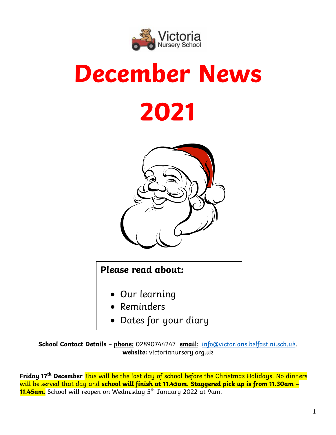

# **December News 2021**



# **Please read about:**

- Our learning
- Reminders
- Dates for your diary

**School Contact Details** – **phone:** 02890744247 **email:** [info@victorians.belfast.ni.sch.uk.](mailto:info@victorians.belfast.ni.sch.uk) **website:** victorianursery.org.uk

**Friday 17 th December** This will be the last day of school before the Christmas Holidays. No dinners will be served that day and **school will finish at 11.45am. Staggered pick up is from 11.30am – 11.45am.** School will reopen on Wednesday 5th January 2022 at 9am.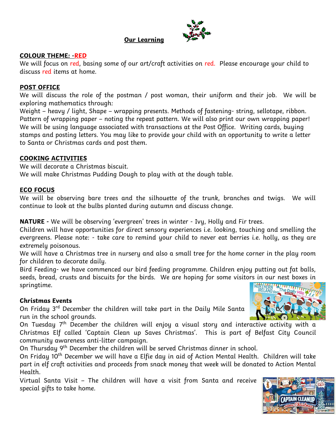#### **Our Learning**



#### **COLOUR THEME: -RED**

We will focus on red, basing some of our art/craft activities on red. Please encourage your child to discuss red items at home.

#### **POST OFFICE**

We will discuss the role of the postman / post woman, their uniform and their job. We will be exploring mathematics through:

Weight – heavy / light, Shape – wrapping presents. Methods of fastening- string, sellotape, ribbon. Pattern of wrapping paper – noting the repeat pattern. We will also print our own wrapping paper! We will be using language associated with transactions at the Post Office. Writing cards, buying stamps and posting letters. You may like to provide your child with an opportunity to write a letter to Santa or Christmas cards and post them.

#### **COOKING ACTIVITIES**

We will decorate a Christmas biscuit. We will make Christmas Pudding Dough to play with at the dough table.

#### **ECO FOCUS**

We will be observing bare trees and the silhouette of the trunk, branches and twigs. We will continue to look at the bulbs planted during autumn and discuss change.

**NATURE -** We will be observing 'evergreen' trees in winter - Ivy, Holly and Fir trees.

Children will have opportunities for direct sensory experiences i.e. looking, touching and smelling the evergreens. Please note: - take care to remind your child to never eat berries i.e. holly, as they are extremely poisonous.

We will have a Christmas tree in nursery and also a small tree for the home corner in the play room for children to decorate daily.

Bird Feeding- we have commenced our bird feeding programme. Children enjoy putting out fat balls, seeds, bread, crusts and biscuits for the birds. We are hoping for some visitors in our nest boxes in springtime.

#### **Christmas Events**

On Friday 3rd December the children will take part in the Daily Mile Santa run in the school grounds.

On Tuesday  $7<sup>th</sup>$  December the children will enjoy a visual story and interactive activity with a Christmas Elf called 'Captain Clean up Saves Christmas'. This is part of Belfast City Council community awareness anti-litter campaign.

On Thursday 9<sup>th</sup> December the children will be served Christmas dinner in school.

On Friday 10<sup>th</sup> December we will have a Elfie day in aid of Action Mental Health. Children will take part in elf craft activities and proceeds from snack money that week will be donated to Action Mental Health.

Virtual Santa Visit – The children will have a visit from Santa and receive special gifts to take home.



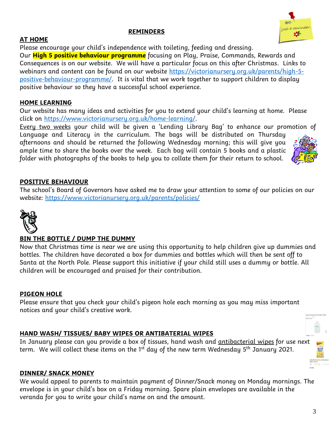Our **High 5 positive behaviour programme** focusing on Play, Praise, Commands, Rewards and Consequences is on our website. We will have a particular focus on this after Christmas. Links to webinars and content can be found on our website [https://victorianursery.org.uk/parents/high-5](https://victorianursery.org.uk/parents/high-5-positive-behaviour-programme/) [positive-behaviour-programme/.](https://victorianursery.org.uk/parents/high-5-positive-behaviour-programme/) It is vital that we work together to support children to display positive behaviour so they have a successful school experience.

#### **HOME LEARNING**

**AT HOME**

Our website has many ideas and activities for you to extend your child's learning at home. Please click on [https://www.victorianursery.org.uk/home-learning/.](https://www.victorianursery.org.uk/home-learning/)

Every two weeks your child will be given a 'Lending Library Bag' to enhance our promotion of Language and Literacy in the curriculum. The bags will be distributed on Thursday

afternoons and should be returned the following Wednesday morning; this will give you ample time to share the books over the week. Each bag will contain 5 books and a plastic folder with photographs of the books to help you to collate them for their return to school.

#### **POSITIVE BEHAVIOUR**

The school's Board of Governors have asked me to draw your attention to some of our policies on our website:<https://www.victorianursery.org.uk/parents/policies/>



#### **BIN THE BOTTLE / DUMP THE DUMMY**

Now that Christmas time is near we are using this opportunity to help children give up dummies and bottles. The children have decorated a box for dummies and bottles which will then be sent off to Santa at the North Pole. Please support this initiative if your child still uses a dummy or bottle. All children will be encouraged and praised for their contribution.

#### **PIGEON HOLE**

Please ensure that you check your child's pigeon hole each morning as you may miss important notices and your child's creative work.

#### **HAND WASH/ TISSUES/ BABY WIPES OR ANTIBATERIAL WIPES**

In January please can you provide a box of tissues, hand wash and antibacterial wipes for use next term. We will collect these items on the 1<sup>st</sup> day of the new term Wednesday 5<sup>th</sup> January 2021.

#### **DINNER/ SNACK MONEY**

We would appeal to parents to maintain payment of Dinner/Snack money on Monday mornings. The envelope is in your child's box on a Friday morning. Spare plain envelopes are available in the veranda for you to write your child's name on and the amount.

Please encourage your child's independence with toileting, feeding and dressing.



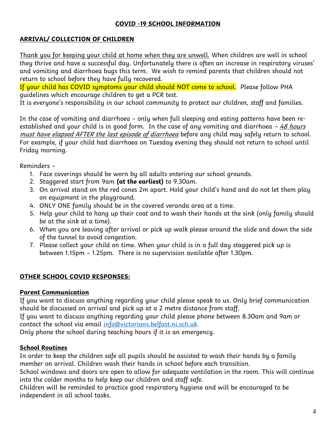# **COVID -19 SCHOOL INFORMATION**

# **ARRIVAL/ COLLECTION OF CHILDREN**

Thank you for keeping your child at home when they are unwell. When children are well in school they thrive and have a successful day. Unfortunately there is often an increase in respiratory viruses' and vomiting and diarrhoea bugs this term. We wish to remind parents that children should not return to school before they have fully recovered.

If your child has COVID symptoms your child should NOT come to school. Please follow PHA guidelines which encourage children to get a PCR test.

It is everyone's responsibility in our school community to protect our children, staff and families.

In the case of vomiting and diarrhoea – only when full sleeping and eating patterns have been reestablished and your child is in good form. In the case of any vomiting and diarrhoea  $-48$  hours must have elapsed AFTER the last episode of diarrhoea before any child may safely return to school. For example, if your child had diarrhoea on Tuesday evening they should not return to school until Friday morning.

Reminders –

- 1. Face coverings should be worn by all adults entering our school grounds.
- 2. Staggered start from 9am **(at the earliest)** to 9.30am.
- 3. On arrival stand on the red cones 2m apart. Hold your child's hand and do not let them play on equipment in the playground.
- 4. ONLY ONE family should be in the covered veranda area at a time.
- 5. Help your child to hang up their coat and to wash their hands at the sink (only family should be at the sink at a time).
- 6. When you are leaving after arrival or pick up walk please around the slide and down the side of the tunnel to avoid congestion.
- 7. Please collect your child on time. When your child is in a full day staggered pick up is between 1.15pm – 1.25pm. There is no supervision available after 1.30pm.

# **OTHER SCHOOL COVID RESPONSES:**

# **Parent Communication**

If you want to discuss anything regarding your child please speak to us. Only brief communication should be discussed on arrival and pick up at a 2 metre distance from staff.

If you want to discuss anything regarding your child please phone between 8.30am and 9am or contact the school via email [info@victorians.belfast.ni.sch.uk.](mailto:info@victorians.belfast.ni.sch.uk)

Only phone the school during teaching hours if it is an emergency.

# **School Routines**

In order to keep the children safe all pupils should be assisted to wash their hands by a family member on arrival. Children wash their hands in school before each transition.

School windows and doors are open to allow for adequate ventilation in the room. This will continue into the colder months to help keep our children and staff safe.

Children will be reminded to practice good respiratory hygiene and will be encouraged to be independent in all school tasks.